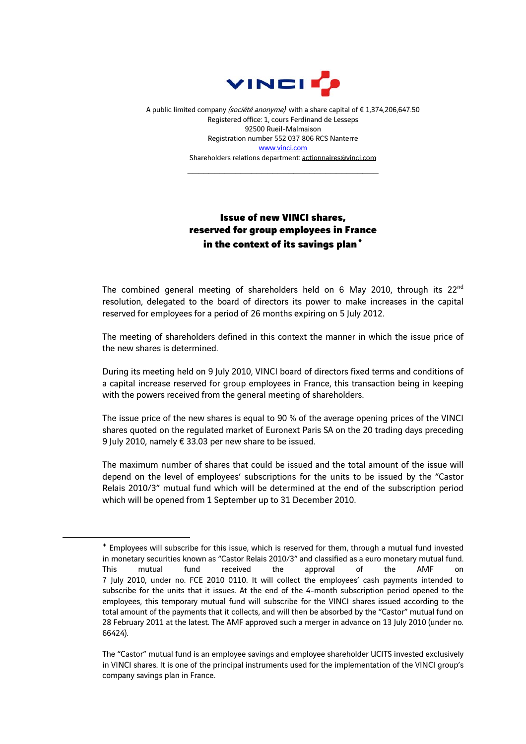

A public limited company (société anonyme) with a share capital of €1,374,206,647.50 Registered office: 1, cours Ferdinand de Lesseps 92500 Rueil-Malmaison Registration number 552 037 806 RCS Nanterre [www.vinci.com](http://www.vinci.com/) Shareholders relations department: actionnaires@vinci.com

\_\_\_\_\_\_\_\_\_\_\_\_\_\_\_\_\_\_\_\_\_\_\_\_\_\_\_\_\_\_\_\_\_\_\_\_

## Issue of new VINCI shares, reserved for group employees in France in the context of its savings plan<sup>+</sup>

The combined general meeting of shareholders held on 6 May 2010, through its  $22^{nd}$ resolution, delegated to the board of directors its power to make increases in the capital reserved for employees for a period of 26 months expiring on 5 July 2012.

The meeting of shareholders defined in this context the manner in which the issue price of the new shares is determined.

During its meeting held on 9 July 2010, VINCI board of directors fixed terms and conditions of a capital increase reserved for group employees in France, this transaction being in keeping with the powers received from the general meeting of shareholders.

The issue price of the new shares is equal to 90 % of the average opening prices of the VINCI shares quoted on the regulated market of Euronext Paris SA on the 20 trading days preceding 9 July 2010, namely € 33.03 per new share to be issued.

The maximum number of shares that could be issued and the total amount of the issue will depend on the level of employees' subscriptions for the units to be issued by the "Castor Relais 2010/3" mutual fund which will be determined at the end of the subscription period which will be opened from 1 September up to 31 December 2010.

<span id="page-0-0"></span>1

<sup>♦</sup> Employees will subscribe for this issue, which is reserved for them, through a mutual fund invested in monetary securities known as "Castor Relais 2010/3" and classified as a euro monetary mutual fund. This mutual fund received the approval of the AMF on 7 July 2010, under no. FCE 2010 0110. It will collect the employees' cash payments intended to subscribe for the units that it issues. At the end of the 4-month subscription period opened to the employees, this temporary mutual fund will subscribe for the VINCI shares issued according to the total amount of the payments that it collects, and will then be absorbed by the "Castor" mutual fund on 28 February 2011 at the latest. The AMF approved such a merger in advance on 13 July 2010 (under no. 66424).

The "Castor" mutual fund is an employee savings and employee shareholder UCITS invested exclusively in VINCI shares. It is one of the principal instruments used for the implementation of the VINCI group's company savings plan in France.